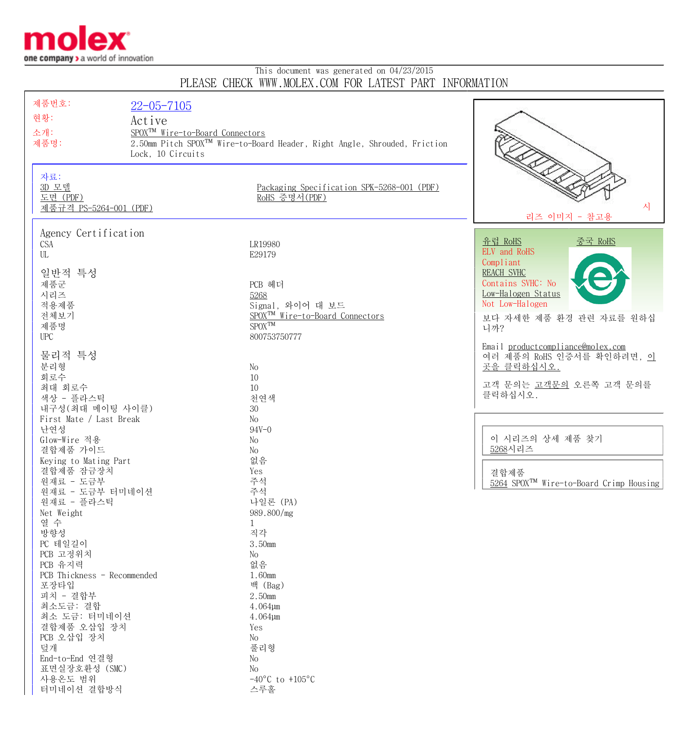

## This document was generated on 04/23/2015 PLEASE CHECK WWW.MOLEX.COM FOR LATEST PART INFORMATION

| 현황:<br>Active<br>소개:<br>SPOX <sup>TM</sup> Wire-to-Board Connectors<br>2.50mm Pitch SPOX <sup>TM</sup> Wire-to-Board Header, Right Angle, Shrouded, Friction<br>제품명:<br>Lock, 10 Circuits<br>자료:<br>3D 모델<br>Packaging Specification SPK-5268-001 (PDF)<br>도면 (PDF)<br>RoHS 증명서(PDF)<br>시<br>제품규격 PS-5264-001 (PDF)<br>리즈 이미지 - 참고용<br>Agency Certification<br><u>유럽 RoHS</u><br><u>중국 RoHS</u><br><b>CSA</b><br>LR19980<br>ELV and RoHS<br>UL<br>E29179<br>Compliant<br>일반적 특성<br><b>REACH SVHC</b><br>Contains SVHC: No<br>제품군<br>PCB 헤더<br>Low-Halogen Status<br>시리즈<br>5268<br>Not Low-Halogen<br>적용제품<br>Signal, 와이어 대 보드<br>전체보기<br>SPOX <sup>TM</sup> Wire-to-Board Connectors<br>보다 자세한 제품 환경 관련 자료를 원하십<br>$\mathrm{SPO X}^{\mathrm{TM}}$<br>제품명<br>니까?<br><b>UPC</b><br>800753750777<br>Email productcompliance@molex.com<br>물리적 특성<br>여러 제품의 RoHS 인증서를 확인하려면, 이<br>분리형<br>곳을 클릭하십시오.<br>No<br>회로수<br>10<br>고객 문의는 고객문의 오른쪽 고객 문의를<br>최대 회로수<br>10<br>클릭하십시오.<br>색상 - 플라스틱<br>천연색<br>내구성(최대 메이팅 사이클)<br>30<br>No<br>First Mate / Last Break<br>난연성<br>$94V - 0$<br>이 시리즈의 상세 제품 찾기<br>Glow-Wire 적용<br>No<br>5268시리즈<br>결합제품 가이드<br>No<br>없음<br>Keying to Mating Part<br>결합제품 잠금장치<br>Yes<br>결합제품<br>주석<br>원재료 - 도금부<br>5264 SPOX <sup>TM</sup> Wire-to-Board Crimp Housing<br>원재료 - 도금부 터미네이션<br>주석<br>원재료 - 플라스틱<br>나일론 (PA)<br>Net Weight<br>989.800/mg<br>열 수<br>1<br>방향성<br>직각<br>PC 테일길이<br>3.50mm<br>PCB 고정위치<br>No<br>없음<br>PCB 유지력<br>PCB Thickness - Recommended<br>1.60mm<br>포장타입<br>백 (Bag)<br>피치 - 결합부<br>2.50mm<br>최소도금: 결합<br>4.064µm<br>최소 도금: 터미네이션<br>4.064µm<br>결합제품 오삽입 장치<br>Yes<br>PCB 오삽입 장치<br>No<br>덮개<br>풀리형<br>End-to-End 연결형<br>No<br>표면실장호환성 (SMC)<br>No<br>사용온도 범위<br>$-40^{\circ}$ C to $+105^{\circ}$ C<br>터미네이션 결합방식<br>스루홀 | 제품번호: | $22 - 05 - 7105$ |  |  |  |
|-----------------------------------------------------------------------------------------------------------------------------------------------------------------------------------------------------------------------------------------------------------------------------------------------------------------------------------------------------------------------------------------------------------------------------------------------------------------------------------------------------------------------------------------------------------------------------------------------------------------------------------------------------------------------------------------------------------------------------------------------------------------------------------------------------------------------------------------------------------------------------------------------------------------------------------------------------------------------------------------------------------------------------------------------------------------------------------------------------------------------------------------------------------------------------------------------------------------------------------------------------------------------------------------------------------------------------------------------------------------------------------------------------------------------------------------------------------------------------------------------------------------------------------------------------------------------------------------------------------------------------------------------------------------------------------------------------------------------------------------------------------------------|-------|------------------|--|--|--|
|                                                                                                                                                                                                                                                                                                                                                                                                                                                                                                                                                                                                                                                                                                                                                                                                                                                                                                                                                                                                                                                                                                                                                                                                                                                                                                                                                                                                                                                                                                                                                                                                                                                                                                                                                                       |       |                  |  |  |  |
|                                                                                                                                                                                                                                                                                                                                                                                                                                                                                                                                                                                                                                                                                                                                                                                                                                                                                                                                                                                                                                                                                                                                                                                                                                                                                                                                                                                                                                                                                                                                                                                                                                                                                                                                                                       |       |                  |  |  |  |
|                                                                                                                                                                                                                                                                                                                                                                                                                                                                                                                                                                                                                                                                                                                                                                                                                                                                                                                                                                                                                                                                                                                                                                                                                                                                                                                                                                                                                                                                                                                                                                                                                                                                                                                                                                       |       |                  |  |  |  |
|                                                                                                                                                                                                                                                                                                                                                                                                                                                                                                                                                                                                                                                                                                                                                                                                                                                                                                                                                                                                                                                                                                                                                                                                                                                                                                                                                                                                                                                                                                                                                                                                                                                                                                                                                                       |       |                  |  |  |  |
|                                                                                                                                                                                                                                                                                                                                                                                                                                                                                                                                                                                                                                                                                                                                                                                                                                                                                                                                                                                                                                                                                                                                                                                                                                                                                                                                                                                                                                                                                                                                                                                                                                                                                                                                                                       |       |                  |  |  |  |
|                                                                                                                                                                                                                                                                                                                                                                                                                                                                                                                                                                                                                                                                                                                                                                                                                                                                                                                                                                                                                                                                                                                                                                                                                                                                                                                                                                                                                                                                                                                                                                                                                                                                                                                                                                       |       |                  |  |  |  |
|                                                                                                                                                                                                                                                                                                                                                                                                                                                                                                                                                                                                                                                                                                                                                                                                                                                                                                                                                                                                                                                                                                                                                                                                                                                                                                                                                                                                                                                                                                                                                                                                                                                                                                                                                                       |       |                  |  |  |  |
|                                                                                                                                                                                                                                                                                                                                                                                                                                                                                                                                                                                                                                                                                                                                                                                                                                                                                                                                                                                                                                                                                                                                                                                                                                                                                                                                                                                                                                                                                                                                                                                                                                                                                                                                                                       |       |                  |  |  |  |
|                                                                                                                                                                                                                                                                                                                                                                                                                                                                                                                                                                                                                                                                                                                                                                                                                                                                                                                                                                                                                                                                                                                                                                                                                                                                                                                                                                                                                                                                                                                                                                                                                                                                                                                                                                       |       |                  |  |  |  |
|                                                                                                                                                                                                                                                                                                                                                                                                                                                                                                                                                                                                                                                                                                                                                                                                                                                                                                                                                                                                                                                                                                                                                                                                                                                                                                                                                                                                                                                                                                                                                                                                                                                                                                                                                                       |       |                  |  |  |  |
|                                                                                                                                                                                                                                                                                                                                                                                                                                                                                                                                                                                                                                                                                                                                                                                                                                                                                                                                                                                                                                                                                                                                                                                                                                                                                                                                                                                                                                                                                                                                                                                                                                                                                                                                                                       |       |                  |  |  |  |
|                                                                                                                                                                                                                                                                                                                                                                                                                                                                                                                                                                                                                                                                                                                                                                                                                                                                                                                                                                                                                                                                                                                                                                                                                                                                                                                                                                                                                                                                                                                                                                                                                                                                                                                                                                       |       |                  |  |  |  |
|                                                                                                                                                                                                                                                                                                                                                                                                                                                                                                                                                                                                                                                                                                                                                                                                                                                                                                                                                                                                                                                                                                                                                                                                                                                                                                                                                                                                                                                                                                                                                                                                                                                                                                                                                                       |       |                  |  |  |  |
|                                                                                                                                                                                                                                                                                                                                                                                                                                                                                                                                                                                                                                                                                                                                                                                                                                                                                                                                                                                                                                                                                                                                                                                                                                                                                                                                                                                                                                                                                                                                                                                                                                                                                                                                                                       |       |                  |  |  |  |
|                                                                                                                                                                                                                                                                                                                                                                                                                                                                                                                                                                                                                                                                                                                                                                                                                                                                                                                                                                                                                                                                                                                                                                                                                                                                                                                                                                                                                                                                                                                                                                                                                                                                                                                                                                       |       |                  |  |  |  |
|                                                                                                                                                                                                                                                                                                                                                                                                                                                                                                                                                                                                                                                                                                                                                                                                                                                                                                                                                                                                                                                                                                                                                                                                                                                                                                                                                                                                                                                                                                                                                                                                                                                                                                                                                                       |       |                  |  |  |  |
|                                                                                                                                                                                                                                                                                                                                                                                                                                                                                                                                                                                                                                                                                                                                                                                                                                                                                                                                                                                                                                                                                                                                                                                                                                                                                                                                                                                                                                                                                                                                                                                                                                                                                                                                                                       |       |                  |  |  |  |
|                                                                                                                                                                                                                                                                                                                                                                                                                                                                                                                                                                                                                                                                                                                                                                                                                                                                                                                                                                                                                                                                                                                                                                                                                                                                                                                                                                                                                                                                                                                                                                                                                                                                                                                                                                       |       |                  |  |  |  |
|                                                                                                                                                                                                                                                                                                                                                                                                                                                                                                                                                                                                                                                                                                                                                                                                                                                                                                                                                                                                                                                                                                                                                                                                                                                                                                                                                                                                                                                                                                                                                                                                                                                                                                                                                                       |       |                  |  |  |  |
|                                                                                                                                                                                                                                                                                                                                                                                                                                                                                                                                                                                                                                                                                                                                                                                                                                                                                                                                                                                                                                                                                                                                                                                                                                                                                                                                                                                                                                                                                                                                                                                                                                                                                                                                                                       |       |                  |  |  |  |
|                                                                                                                                                                                                                                                                                                                                                                                                                                                                                                                                                                                                                                                                                                                                                                                                                                                                                                                                                                                                                                                                                                                                                                                                                                                                                                                                                                                                                                                                                                                                                                                                                                                                                                                                                                       |       |                  |  |  |  |
|                                                                                                                                                                                                                                                                                                                                                                                                                                                                                                                                                                                                                                                                                                                                                                                                                                                                                                                                                                                                                                                                                                                                                                                                                                                                                                                                                                                                                                                                                                                                                                                                                                                                                                                                                                       |       |                  |  |  |  |
|                                                                                                                                                                                                                                                                                                                                                                                                                                                                                                                                                                                                                                                                                                                                                                                                                                                                                                                                                                                                                                                                                                                                                                                                                                                                                                                                                                                                                                                                                                                                                                                                                                                                                                                                                                       |       |                  |  |  |  |
|                                                                                                                                                                                                                                                                                                                                                                                                                                                                                                                                                                                                                                                                                                                                                                                                                                                                                                                                                                                                                                                                                                                                                                                                                                                                                                                                                                                                                                                                                                                                                                                                                                                                                                                                                                       |       |                  |  |  |  |
|                                                                                                                                                                                                                                                                                                                                                                                                                                                                                                                                                                                                                                                                                                                                                                                                                                                                                                                                                                                                                                                                                                                                                                                                                                                                                                                                                                                                                                                                                                                                                                                                                                                                                                                                                                       |       |                  |  |  |  |
|                                                                                                                                                                                                                                                                                                                                                                                                                                                                                                                                                                                                                                                                                                                                                                                                                                                                                                                                                                                                                                                                                                                                                                                                                                                                                                                                                                                                                                                                                                                                                                                                                                                                                                                                                                       |       |                  |  |  |  |
|                                                                                                                                                                                                                                                                                                                                                                                                                                                                                                                                                                                                                                                                                                                                                                                                                                                                                                                                                                                                                                                                                                                                                                                                                                                                                                                                                                                                                                                                                                                                                                                                                                                                                                                                                                       |       |                  |  |  |  |
|                                                                                                                                                                                                                                                                                                                                                                                                                                                                                                                                                                                                                                                                                                                                                                                                                                                                                                                                                                                                                                                                                                                                                                                                                                                                                                                                                                                                                                                                                                                                                                                                                                                                                                                                                                       |       |                  |  |  |  |
|                                                                                                                                                                                                                                                                                                                                                                                                                                                                                                                                                                                                                                                                                                                                                                                                                                                                                                                                                                                                                                                                                                                                                                                                                                                                                                                                                                                                                                                                                                                                                                                                                                                                                                                                                                       |       |                  |  |  |  |
|                                                                                                                                                                                                                                                                                                                                                                                                                                                                                                                                                                                                                                                                                                                                                                                                                                                                                                                                                                                                                                                                                                                                                                                                                                                                                                                                                                                                                                                                                                                                                                                                                                                                                                                                                                       |       |                  |  |  |  |
|                                                                                                                                                                                                                                                                                                                                                                                                                                                                                                                                                                                                                                                                                                                                                                                                                                                                                                                                                                                                                                                                                                                                                                                                                                                                                                                                                                                                                                                                                                                                                                                                                                                                                                                                                                       |       |                  |  |  |  |
|                                                                                                                                                                                                                                                                                                                                                                                                                                                                                                                                                                                                                                                                                                                                                                                                                                                                                                                                                                                                                                                                                                                                                                                                                                                                                                                                                                                                                                                                                                                                                                                                                                                                                                                                                                       |       |                  |  |  |  |
|                                                                                                                                                                                                                                                                                                                                                                                                                                                                                                                                                                                                                                                                                                                                                                                                                                                                                                                                                                                                                                                                                                                                                                                                                                                                                                                                                                                                                                                                                                                                                                                                                                                                                                                                                                       |       |                  |  |  |  |
|                                                                                                                                                                                                                                                                                                                                                                                                                                                                                                                                                                                                                                                                                                                                                                                                                                                                                                                                                                                                                                                                                                                                                                                                                                                                                                                                                                                                                                                                                                                                                                                                                                                                                                                                                                       |       |                  |  |  |  |
|                                                                                                                                                                                                                                                                                                                                                                                                                                                                                                                                                                                                                                                                                                                                                                                                                                                                                                                                                                                                                                                                                                                                                                                                                                                                                                                                                                                                                                                                                                                                                                                                                                                                                                                                                                       |       |                  |  |  |  |
|                                                                                                                                                                                                                                                                                                                                                                                                                                                                                                                                                                                                                                                                                                                                                                                                                                                                                                                                                                                                                                                                                                                                                                                                                                                                                                                                                                                                                                                                                                                                                                                                                                                                                                                                                                       |       |                  |  |  |  |
|                                                                                                                                                                                                                                                                                                                                                                                                                                                                                                                                                                                                                                                                                                                                                                                                                                                                                                                                                                                                                                                                                                                                                                                                                                                                                                                                                                                                                                                                                                                                                                                                                                                                                                                                                                       |       |                  |  |  |  |
|                                                                                                                                                                                                                                                                                                                                                                                                                                                                                                                                                                                                                                                                                                                                                                                                                                                                                                                                                                                                                                                                                                                                                                                                                                                                                                                                                                                                                                                                                                                                                                                                                                                                                                                                                                       |       |                  |  |  |  |
|                                                                                                                                                                                                                                                                                                                                                                                                                                                                                                                                                                                                                                                                                                                                                                                                                                                                                                                                                                                                                                                                                                                                                                                                                                                                                                                                                                                                                                                                                                                                                                                                                                                                                                                                                                       |       |                  |  |  |  |
|                                                                                                                                                                                                                                                                                                                                                                                                                                                                                                                                                                                                                                                                                                                                                                                                                                                                                                                                                                                                                                                                                                                                                                                                                                                                                                                                                                                                                                                                                                                                                                                                                                                                                                                                                                       |       |                  |  |  |  |
|                                                                                                                                                                                                                                                                                                                                                                                                                                                                                                                                                                                                                                                                                                                                                                                                                                                                                                                                                                                                                                                                                                                                                                                                                                                                                                                                                                                                                                                                                                                                                                                                                                                                                                                                                                       |       |                  |  |  |  |
|                                                                                                                                                                                                                                                                                                                                                                                                                                                                                                                                                                                                                                                                                                                                                                                                                                                                                                                                                                                                                                                                                                                                                                                                                                                                                                                                                                                                                                                                                                                                                                                                                                                                                                                                                                       |       |                  |  |  |  |
|                                                                                                                                                                                                                                                                                                                                                                                                                                                                                                                                                                                                                                                                                                                                                                                                                                                                                                                                                                                                                                                                                                                                                                                                                                                                                                                                                                                                                                                                                                                                                                                                                                                                                                                                                                       |       |                  |  |  |  |
|                                                                                                                                                                                                                                                                                                                                                                                                                                                                                                                                                                                                                                                                                                                                                                                                                                                                                                                                                                                                                                                                                                                                                                                                                                                                                                                                                                                                                                                                                                                                                                                                                                                                                                                                                                       |       |                  |  |  |  |
|                                                                                                                                                                                                                                                                                                                                                                                                                                                                                                                                                                                                                                                                                                                                                                                                                                                                                                                                                                                                                                                                                                                                                                                                                                                                                                                                                                                                                                                                                                                                                                                                                                                                                                                                                                       |       |                  |  |  |  |
|                                                                                                                                                                                                                                                                                                                                                                                                                                                                                                                                                                                                                                                                                                                                                                                                                                                                                                                                                                                                                                                                                                                                                                                                                                                                                                                                                                                                                                                                                                                                                                                                                                                                                                                                                                       |       |                  |  |  |  |
|                                                                                                                                                                                                                                                                                                                                                                                                                                                                                                                                                                                                                                                                                                                                                                                                                                                                                                                                                                                                                                                                                                                                                                                                                                                                                                                                                                                                                                                                                                                                                                                                                                                                                                                                                                       |       |                  |  |  |  |
|                                                                                                                                                                                                                                                                                                                                                                                                                                                                                                                                                                                                                                                                                                                                                                                                                                                                                                                                                                                                                                                                                                                                                                                                                                                                                                                                                                                                                                                                                                                                                                                                                                                                                                                                                                       |       |                  |  |  |  |
|                                                                                                                                                                                                                                                                                                                                                                                                                                                                                                                                                                                                                                                                                                                                                                                                                                                                                                                                                                                                                                                                                                                                                                                                                                                                                                                                                                                                                                                                                                                                                                                                                                                                                                                                                                       |       |                  |  |  |  |
|                                                                                                                                                                                                                                                                                                                                                                                                                                                                                                                                                                                                                                                                                                                                                                                                                                                                                                                                                                                                                                                                                                                                                                                                                                                                                                                                                                                                                                                                                                                                                                                                                                                                                                                                                                       |       |                  |  |  |  |
|                                                                                                                                                                                                                                                                                                                                                                                                                                                                                                                                                                                                                                                                                                                                                                                                                                                                                                                                                                                                                                                                                                                                                                                                                                                                                                                                                                                                                                                                                                                                                                                                                                                                                                                                                                       |       |                  |  |  |  |
|                                                                                                                                                                                                                                                                                                                                                                                                                                                                                                                                                                                                                                                                                                                                                                                                                                                                                                                                                                                                                                                                                                                                                                                                                                                                                                                                                                                                                                                                                                                                                                                                                                                                                                                                                                       |       |                  |  |  |  |
|                                                                                                                                                                                                                                                                                                                                                                                                                                                                                                                                                                                                                                                                                                                                                                                                                                                                                                                                                                                                                                                                                                                                                                                                                                                                                                                                                                                                                                                                                                                                                                                                                                                                                                                                                                       |       |                  |  |  |  |
|                                                                                                                                                                                                                                                                                                                                                                                                                                                                                                                                                                                                                                                                                                                                                                                                                                                                                                                                                                                                                                                                                                                                                                                                                                                                                                                                                                                                                                                                                                                                                                                                                                                                                                                                                                       |       |                  |  |  |  |
|                                                                                                                                                                                                                                                                                                                                                                                                                                                                                                                                                                                                                                                                                                                                                                                                                                                                                                                                                                                                                                                                                                                                                                                                                                                                                                                                                                                                                                                                                                                                                                                                                                                                                                                                                                       |       |                  |  |  |  |
|                                                                                                                                                                                                                                                                                                                                                                                                                                                                                                                                                                                                                                                                                                                                                                                                                                                                                                                                                                                                                                                                                                                                                                                                                                                                                                                                                                                                                                                                                                                                                                                                                                                                                                                                                                       |       |                  |  |  |  |
|                                                                                                                                                                                                                                                                                                                                                                                                                                                                                                                                                                                                                                                                                                                                                                                                                                                                                                                                                                                                                                                                                                                                                                                                                                                                                                                                                                                                                                                                                                                                                                                                                                                                                                                                                                       |       |                  |  |  |  |